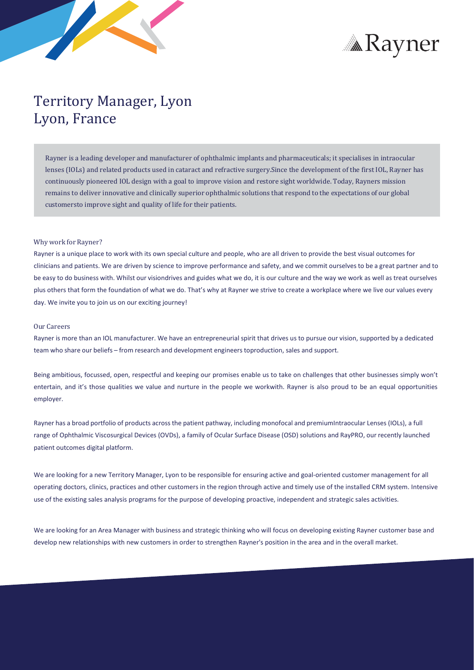



## Territory Manager, Lyon Lyon, France

Rayner is a leading developer and manufacturer of ophthalmic implants and pharmaceuticals; it specialises in intraocular lenses (IOLs) and related products used in cataract and refractive surgery.Since the development of the first IOL, Rayner has continuously pioneered IOL design with a goal to improve vision and restore sight worldwide. Today, Rayners mission remains to deliver innovative and clinically superior ophthalmic solutions that respond to the expectations of our global customersto improve sight and quality of life for their patients.

## Why work for Rayner?

Rayner is a unique place to work with its own special culture and people, who are all driven to provide the best visual outcomes for clinicians and patients. We are driven by science to improve performance and safety, and we commit ourselves to be a great partner and to be easy to do business with. Whilst our visiondrives and guides what we do, it is our culture and the way we work as well as treat ourselves plus others that form the foundation of what we do. That's why at Rayner we strive to create a workplace where we live our values every day. We invite you to join us on our exciting journey!

## Our Careers

Rayner is more than an IOL manufacturer. We have an entrepreneurial spirit that drives us to pursue our vision, supported by a dedicated team who share our beliefs – from research and development engineerstoproduction, sales and support.

Being ambitious, focussed, open, respectful and keeping our promises enable us to take on challenges that other businesses simply won't entertain, and it's those qualities we value and nurture in the people we workwith. Rayner is also proud to be an equal opportunities employer.

Rayner has a broad portfolio of products acrossthe patient pathway, including monofocal and premiumIntraocular Lenses (IOLs), a full range of Ophthalmic Viscosurgical Devices (OVDs), a family of Ocular Surface Disease (OSD) solutions and RayPRO, our recently launched patient outcomes digital platform.

We are looking for a new Territory Manager, Lyon to be responsible for ensuring active and goal-oriented customer management for all operating doctors, clinics, practices and other customers in the region through active and timely use of the installed CRM system. Intensive use of the existing sales analysis programs for the purpose of developing proactive, independent and strategic sales activities.

We are looking for an Area Manager with business and strategic thinking who will focus on developing existing Rayner customer base and develop new relationships with new customers in order to strengthen Rayner's position in the area and in the overall market.